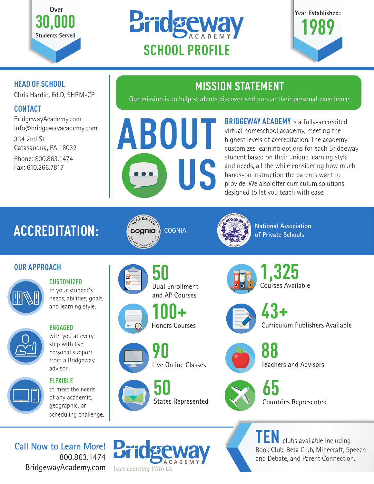





### **HEAD OF SCHOOL**

Chris Hardin, Ed.D, SHRM-CP

### **CONTACT**

BridgewayAcademy.com info@bridgewayacademy.com 334 2nd St. Catasauqua, PA 18032 Phone: 800.863.1474 Fax: 610.266.7817

### **MISSION STATEMENT**

Our mission is to help students discover and pursue their personal excellence.



**BRIDGEWAY ACADEMY** is a fully-accredited virtual homeschool academy, meeting the highest levels of accreditation. The academy customizes learning options for each Bridgeway student based on their unique learning style and needs, all the while considering how much hands-on instruction the parents want to provide. We also offer curriculum solutions designed to let you teach with ease.

### **ACCREDITATION:**  $\left(\begin{matrix} \bullet & \bullet & \bullet \\ \bullet & \bullet & \bullet \end{matrix}\right)$  COGNIA **COGNIAL COGNIAL COGNIAL PROPERTY A** National Association





**of Private Schools** 

### **OUR APPROACH**



#### **CUSTOMIZED** to your student's

needs, abilities, goals, and learning style.



### **ENGAGED**

with you at every step with live, personal support from a Bridgeway advisor.

#### **FLEXIBLE**

to meet the needs of any academic, geographic, or scheduling challenge.





Honors Courses

**90** Live Online Classes

States Represented

**1,325** Courses Available

**43+** Curriculum Publishers Available



**88** Teachers and Advisors



**65** Countries Represented

**Call Now to Learn More!**  800.863.1474 BridgewayAcademy.com

# Love Learning With Us

**50**



**TEN** clubs available including Book Club, Beta Club, Minecraft, Speech and Debate, and Parent Connection.